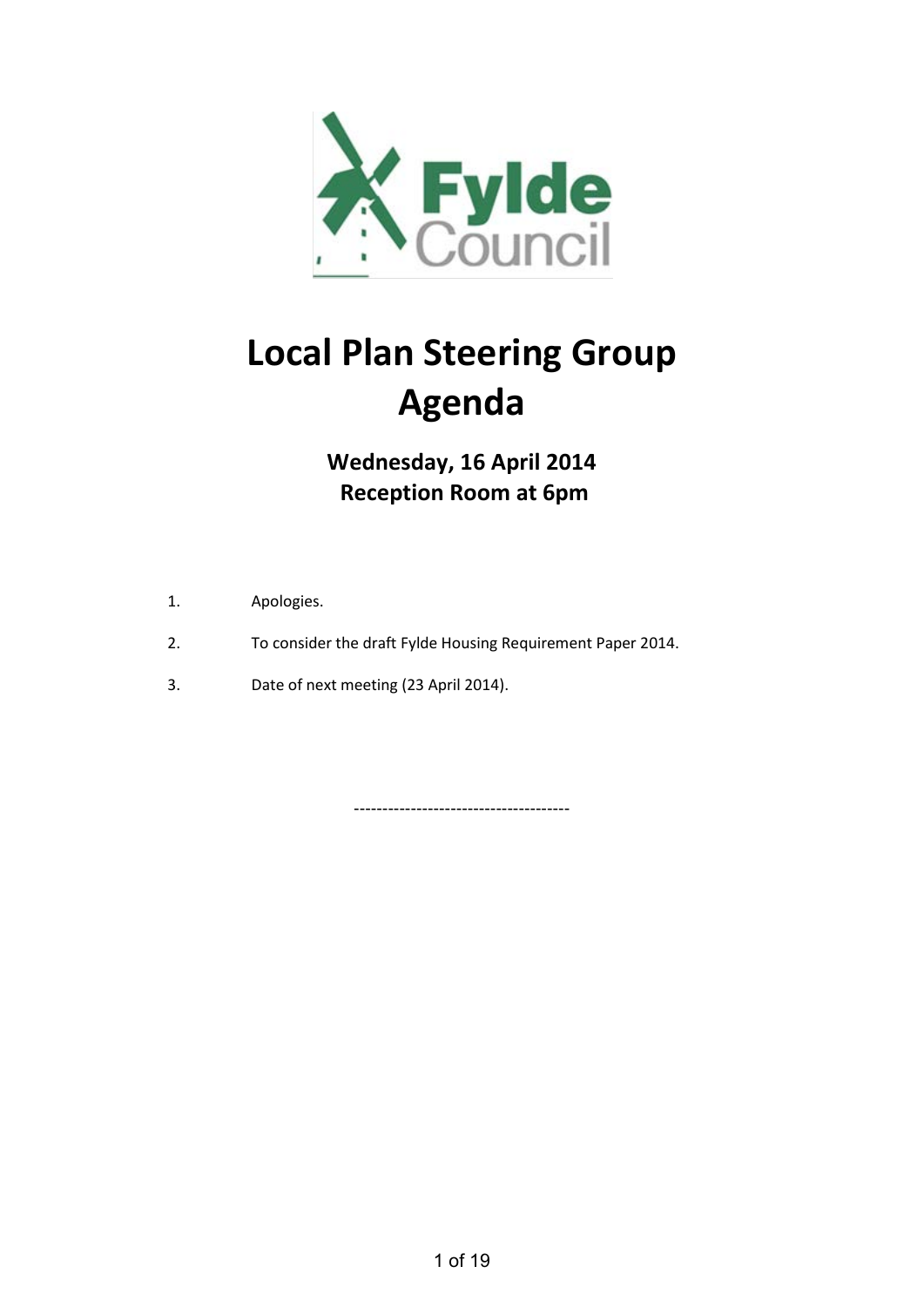

# **Local Plan Steering Group Agenda**

**Wednesday, 16 April 2014 Reception Room at 6pm**

- 1. Apologies.
- 2. To consider the draft Fylde Housing Requirement Paper 2014.
- 3. Date of next meeting (23 April 2014).

--------------------------------------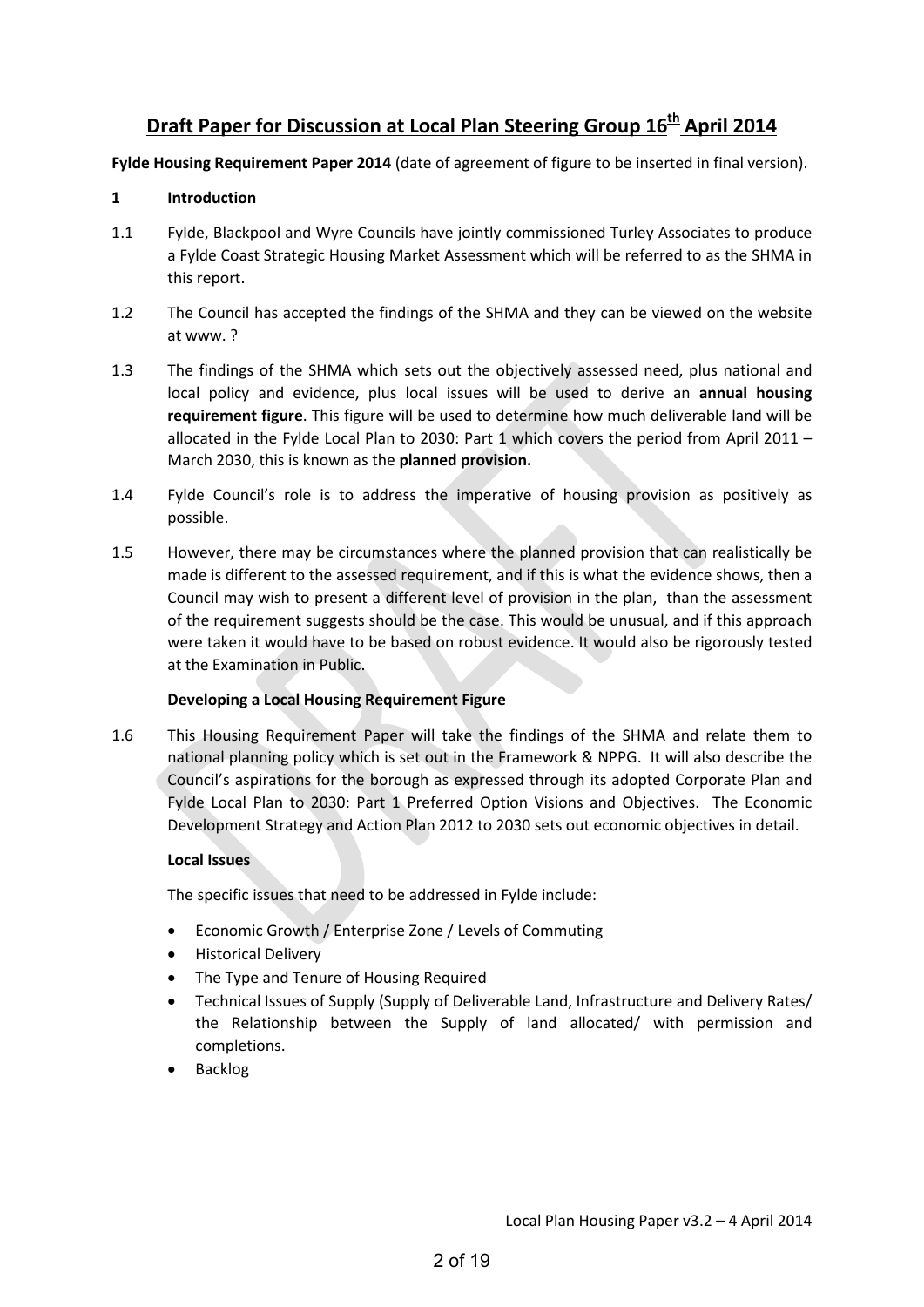# **Draft Paper for Discussion at Local Plan Steering Group 16<sup>th</sup> April 2014**

**Fylde Housing Requirement Paper 2014** (date of agreement of figure to be inserted in final version).

# **1 Introduction**

- 1.1 Fylde, Blackpool and Wyre Councils have jointly commissioned Turley Associates to produce a Fylde Coast Strategic Housing Market Assessment which will be referred to as the SHMA in this report.
- 1.2 The Council has accepted the findings of the SHMA and they can be viewed on the website at www. ?
- 1.3 The findings of the SHMA which sets out the objectively assessed need, plus national and local policy and evidence, plus local issues will be used to derive an **annual housing requirement figure**. This figure will be used to determine how much deliverable land will be allocated in the Fylde Local Plan to 2030: Part 1 which covers the period from April 2011 – March 2030, this is known as the **planned provision.**
- 1.4 Fylde Council's role is to address the imperative of housing provision as positively as possible.
- 1.5 However, there may be circumstances where the planned provision that can realistically be made is different to the assessed requirement, and if this is what the evidence shows, then a Council may wish to present a different level of provision in the plan, than the assessment of the requirement suggests should be the case. This would be unusual, and if this approach were taken it would have to be based on robust evidence. It would also be rigorously tested at the Examination in Public.

# **Developing a Local Housing Requirement Figure**

1.6 This Housing Requirement Paper will take the findings of the SHMA and relate them to national planning policy which is set out in the Framework & NPPG. It will also describe the Council's aspirations for the borough as expressed through its adopted Corporate Plan and Fylde Local Plan to 2030: Part 1 Preferred Option Visions and Objectives. The Economic Development Strategy and Action Plan 2012 to 2030 sets out economic objectives in detail.

# **Local Issues**

The specific issues that need to be addressed in Fylde include:

- Economic Growth / Enterprise Zone / Levels of Commuting
- Historical Delivery
- The Type and Tenure of Housing Required
- Technical Issues of Supply (Supply of Deliverable Land, Infrastructure and Delivery Rates/ the Relationship between the Supply of land allocated/ with permission and completions.
- **Backlog**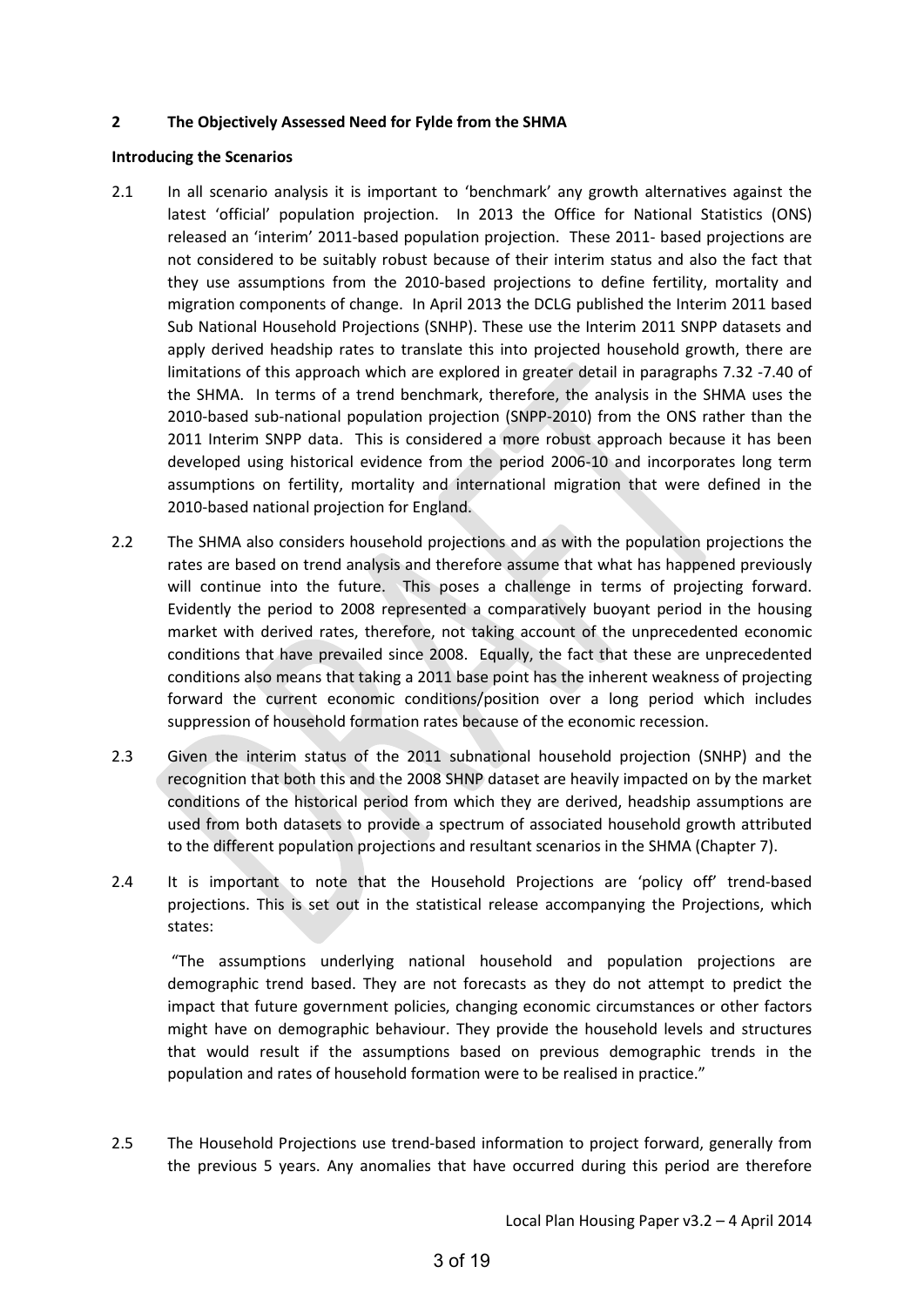#### **2 The Objectively Assessed Need for Fylde from the SHMA**

#### **Introducing the Scenarios**

- 2.1 In all scenario analysis it is important to 'benchmark' any growth alternatives against the latest 'official' population projection. In 2013 the Office for National Statistics (ONS) released an 'interim' 2011-based population projection. These 2011- based projections are not considered to be suitably robust because of their interim status and also the fact that they use assumptions from the 2010-based projections to define fertility, mortality and migration components of change. In April 2013 the DCLG published the Interim 2011 based Sub National Household Projections (SNHP). These use the Interim 2011 SNPP datasets and apply derived headship rates to translate this into projected household growth, there are limitations of this approach which are explored in greater detail in paragraphs 7.32 -7.40 of the SHMA. In terms of a trend benchmark, therefore, the analysis in the SHMA uses the 2010-based sub-national population projection (SNPP-2010) from the ONS rather than the 2011 Interim SNPP data. This is considered a more robust approach because it has been developed using historical evidence from the period 2006-10 and incorporates long term assumptions on fertility, mortality and international migration that were defined in the 2010-based national projection for England.
- 2.2 The SHMA also considers household projections and as with the population projections the rates are based on trend analysis and therefore assume that what has happened previously will continue into the future. This poses a challenge in terms of projecting forward. Evidently the period to 2008 represented a comparatively buoyant period in the housing market with derived rates, therefore, not taking account of the unprecedented economic conditions that have prevailed since 2008. Equally, the fact that these are unprecedented conditions also means that taking a 2011 base point has the inherent weakness of projecting forward the current economic conditions/position over a long period which includes suppression of household formation rates because of the economic recession.
- 2.3 Given the interim status of the 2011 subnational household projection (SNHP) and the recognition that both this and the 2008 SHNP dataset are heavily impacted on by the market conditions of the historical period from which they are derived, headship assumptions are used from both datasets to provide a spectrum of associated household growth attributed to the different population projections and resultant scenarios in the SHMA (Chapter 7).
- 2.4 It is important to note that the Household Projections are 'policy off' trend-based projections. This is set out in the statistical release accompanying the Projections, which states:

 "The assumptions underlying national household and population projections are demographic trend based. They are not forecasts as they do not attempt to predict the impact that future government policies, changing economic circumstances or other factors might have on demographic behaviour. They provide the household levels and structures that would result if the assumptions based on previous demographic trends in the population and rates of household formation were to be realised in practice."

2.5 The Household Projections use trend-based information to project forward, generally from the previous 5 years. Any anomalies that have occurred during this period are therefore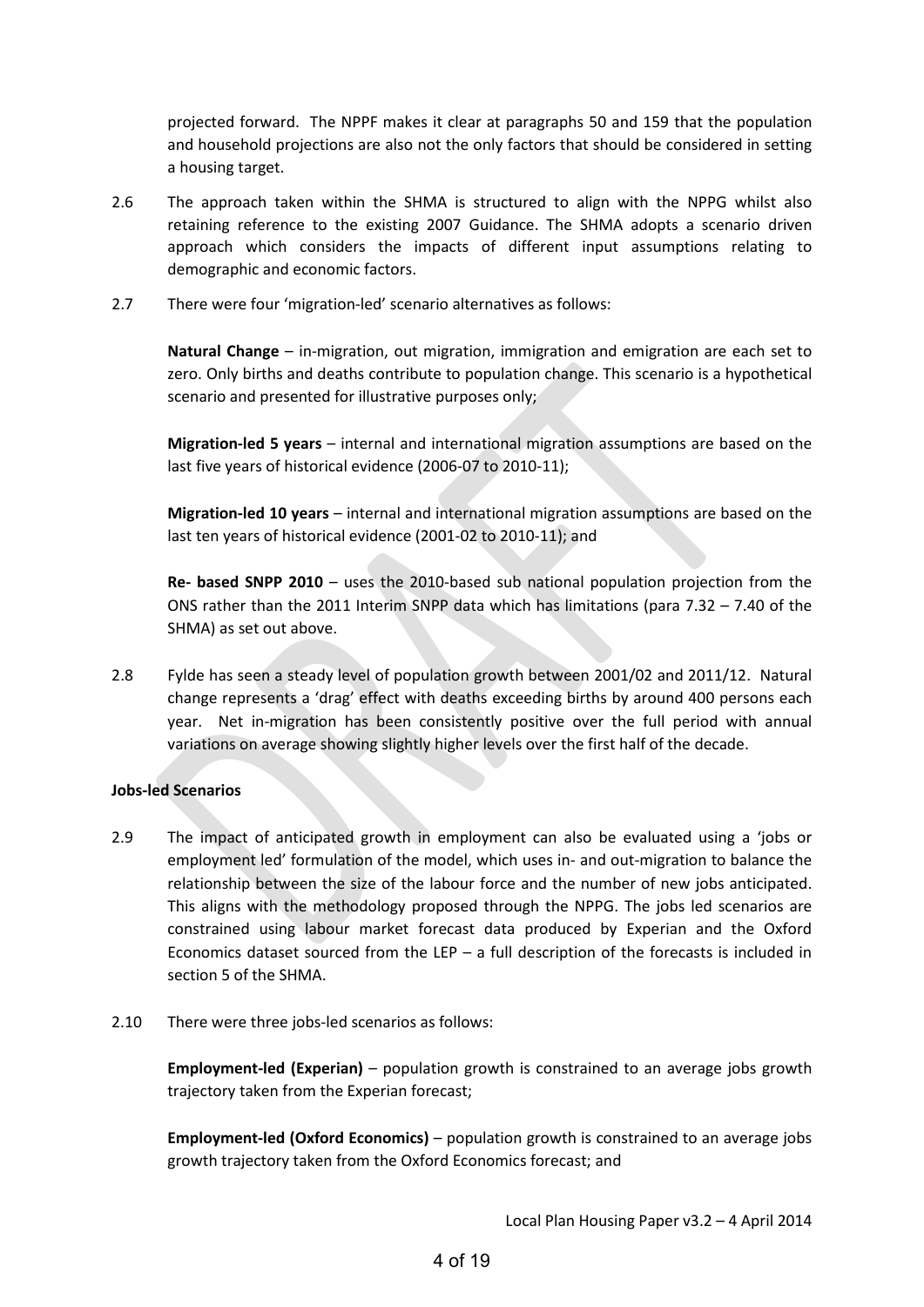projected forward. The NPPF makes it clear at paragraphs 50 and 159 that the population and household projections are also not the only factors that should be considered in setting a housing target.

- 2.6 The approach taken within the SHMA is structured to align with the NPPG whilst also retaining reference to the existing 2007 Guidance. The SHMA adopts a scenario driven approach which considers the impacts of different input assumptions relating to demographic and economic factors.
- 2.7 There were four 'migration-led' scenario alternatives as follows:

**Natural Change** – in-migration, out migration, immigration and emigration are each set to zero. Only births and deaths contribute to population change. This scenario is a hypothetical scenario and presented for illustrative purposes only;

**Migration-led 5 years** – internal and international migration assumptions are based on the last five years of historical evidence (2006-07 to 2010-11);

**Migration-led 10 years** – internal and international migration assumptions are based on the last ten years of historical evidence (2001-02 to 2010-11); and

**Re- based SNPP 2010** – uses the 2010-based sub national population projection from the ONS rather than the 2011 Interim SNPP data which has limitations (para 7.32 – 7.40 of the SHMA) as set out above.

2.8 Fylde has seen a steady level of population growth between 2001/02 and 2011/12. Natural change represents a 'drag' effect with deaths exceeding births by around 400 persons each year. Net in-migration has been consistently positive over the full period with annual variations on average showing slightly higher levels over the first half of the decade.

# **Jobs-led Scenarios**

- 2.9 The impact of anticipated growth in employment can also be evaluated using a 'jobs or employment led' formulation of the model, which uses in- and out-migration to balance the relationship between the size of the labour force and the number of new jobs anticipated. This aligns with the methodology proposed through the NPPG. The jobs led scenarios are constrained using labour market forecast data produced by Experian and the Oxford Economics dataset sourced from the LEP – a full description of the forecasts is included in section 5 of the SHMA.
- 2.10 There were three jobs-led scenarios as follows:

**Employment-led (Experian)** – population growth is constrained to an average jobs growth trajectory taken from the Experian forecast;

**Employment-led (Oxford Economics)** – population growth is constrained to an average jobs growth trajectory taken from the Oxford Economics forecast; and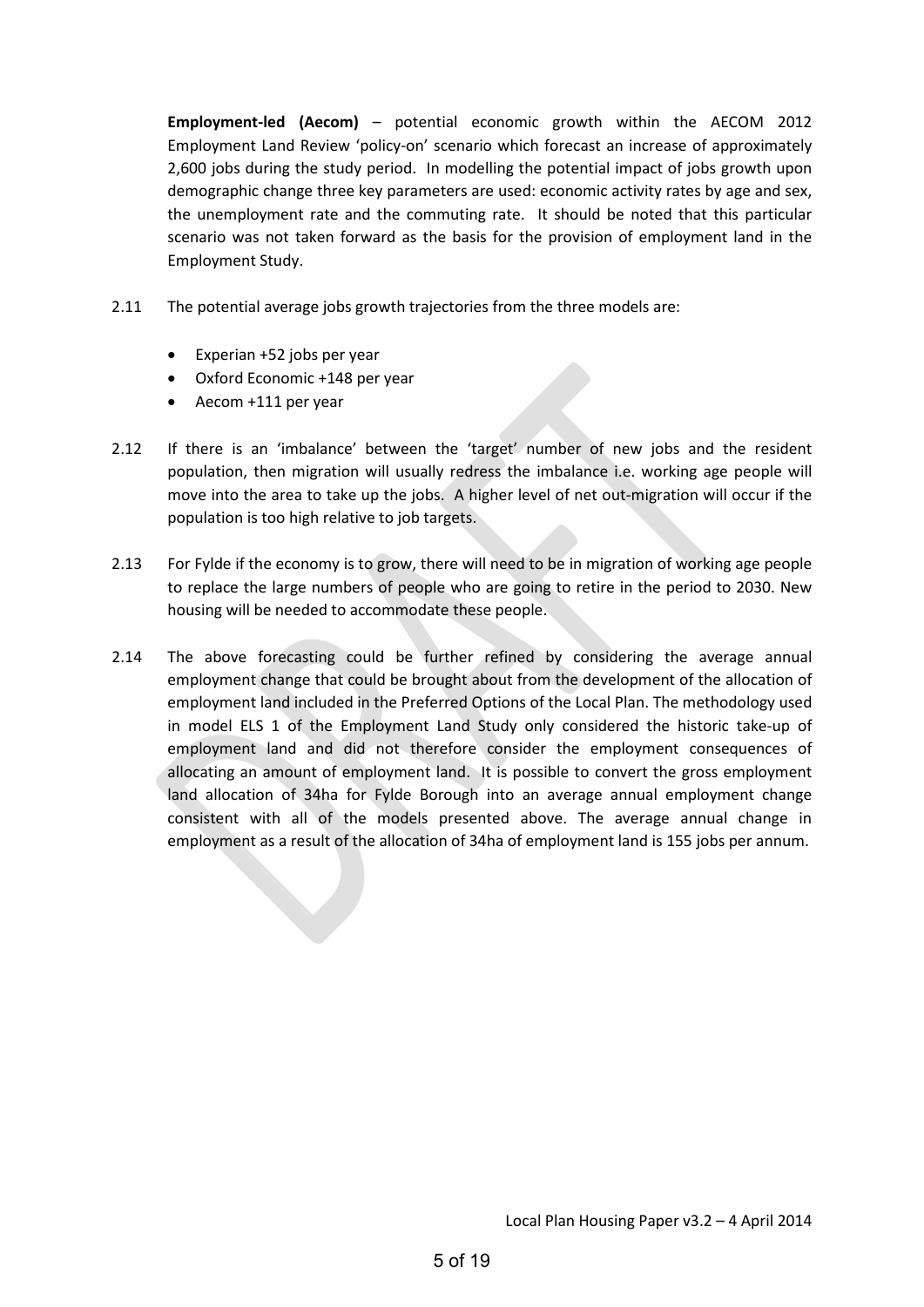**Employment-led (Aecom)** – potential economic growth within the AECOM 2012 Employment Land Review 'policy-on' scenario which forecast an increase of approximately 2,600 jobs during the study period. In modelling the potential impact of jobs growth upon demographic change three key parameters are used: economic activity rates by age and sex, the unemployment rate and the commuting rate. It should be noted that this particular scenario was not taken forward as the basis for the provision of employment land in the Employment Study.

- 2.11 The potential average jobs growth trajectories from the three models are:
	- Experian +52 jobs per year
	- Oxford Economic +148 per year
	- Aecom +111 per year
- 2.12 If there is an 'imbalance' between the 'target' number of new jobs and the resident population, then migration will usually redress the imbalance i.e. working age people will move into the area to take up the jobs. A higher level of net out-migration will occur if the population is too high relative to job targets.
- 2.13 For Fylde if the economy is to grow, there will need to be in migration of working age people to replace the large numbers of people who are going to retire in the period to 2030. New housing will be needed to accommodate these people.
- 2.14 The above forecasting could be further refined by considering the average annual employment change that could be brought about from the development of the allocation of employment land included in the Preferred Options of the Local Plan. The methodology used in model ELS 1 of the Employment Land Study only considered the historic take-up of employment land and did not therefore consider the employment consequences of allocating an amount of employment land. It is possible to convert the gross employment land allocation of 34ha for Fylde Borough into an average annual employment change consistent with all of the models presented above. The average annual change in employment as a result of the allocation of 34ha of employment land is 155 jobs per annum.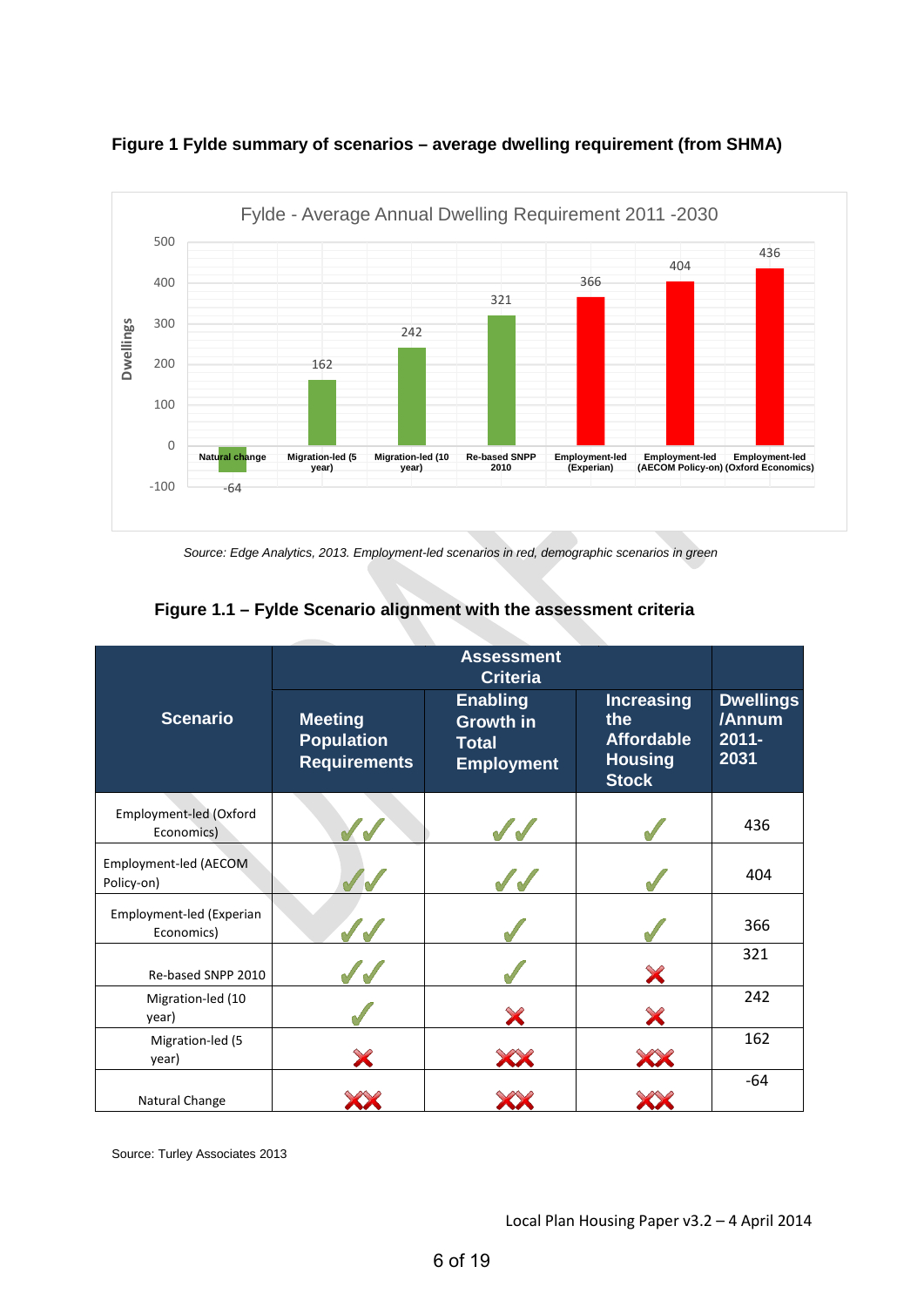

## **Figure 1 Fylde summary of scenarios – average dwelling requirement (from SHMA)**

*Source: Edge Analytics, 2013. Employment-led scenarios in red, demographic scenarios in green* 

| <b>Scenario</b>                        | <b>Meeting</b><br><b>Population</b><br><b>Requirements</b> | <b>Enabling</b><br><b>Growth in</b><br><b>Total</b><br><b>Employment</b> | <b>Increasing</b><br>the<br><b>Affordable</b><br><b>Housing</b><br><b>Stock</b> | <b>Dwellings</b><br>/Annum<br>$2011 -$<br>2031 |  |
|----------------------------------------|------------------------------------------------------------|--------------------------------------------------------------------------|---------------------------------------------------------------------------------|------------------------------------------------|--|
| Employment-led (Oxford<br>Economics)   |                                                            |                                                                          |                                                                                 | 436                                            |  |
| Employment-led (AECOM<br>Policy-on)    |                                                            |                                                                          |                                                                                 | 404                                            |  |
| Employment-led (Experian<br>Economics) |                                                            |                                                                          |                                                                                 | 366                                            |  |
| Re-based SNPP 2010                     |                                                            |                                                                          |                                                                                 | 321                                            |  |
| Migration-led (10<br>year)             |                                                            | X                                                                        |                                                                                 | 242                                            |  |
| Migration-led (5<br>year)              |                                                            |                                                                          |                                                                                 | 162                                            |  |
| Natural Change                         |                                                            |                                                                          |                                                                                 | $-64$                                          |  |

# **Figure 1.1 – Fylde Scenario alignment with the assessment criteria**

Source: Turley Associates 2013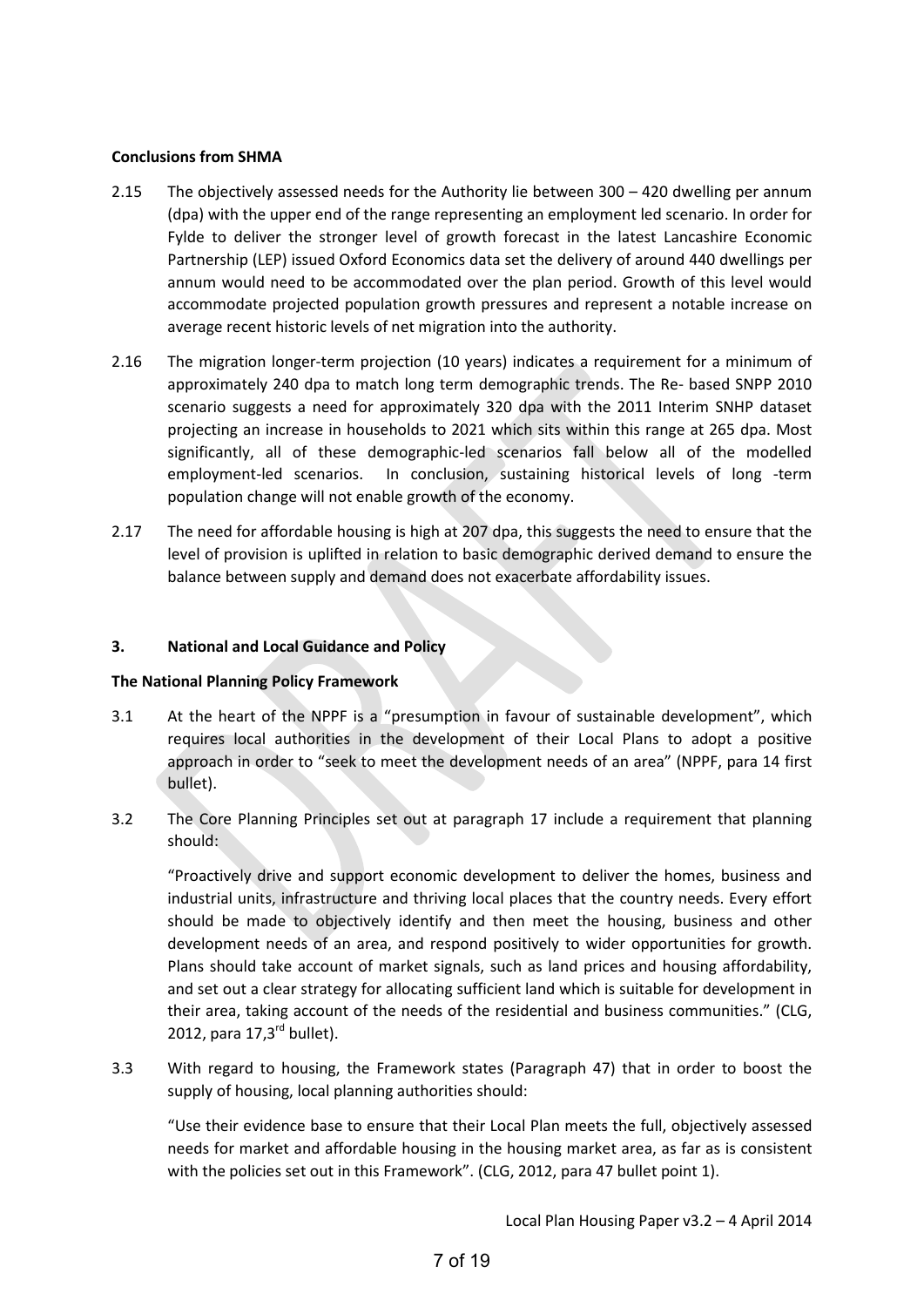#### **Conclusions from SHMA**

- 2.15 The objectively assessed needs for the Authority lie between 300 420 dwelling per annum (dpa) with the upper end of the range representing an employment led scenario. In order for Fylde to deliver the stronger level of growth forecast in the latest Lancashire Economic Partnership (LEP) issued Oxford Economics data set the delivery of around 440 dwellings per annum would need to be accommodated over the plan period. Growth of this level would accommodate projected population growth pressures and represent a notable increase on average recent historic levels of net migration into the authority.
- 2.16 The migration longer-term projection (10 years) indicates a requirement for a minimum of approximately 240 dpa to match long term demographic trends. The Re- based SNPP 2010 scenario suggests a need for approximately 320 dpa with the 2011 Interim SNHP dataset projecting an increase in households to 2021 which sits within this range at 265 dpa. Most significantly, all of these demographic-led scenarios fall below all of the modelled employment-led scenarios. In conclusion, sustaining historical levels of long -term population change will not enable growth of the economy.
- 2.17 The need for affordable housing is high at 207 dpa, this suggests the need to ensure that the level of provision is uplifted in relation to basic demographic derived demand to ensure the balance between supply and demand does not exacerbate affordability issues.

#### **3. National and Local Guidance and Policy**

#### **The National Planning Policy Framework**

- 3.1 At the heart of the NPPF is a "presumption in favour of sustainable development", which requires local authorities in the development of their Local Plans to adopt a positive approach in order to "seek to meet the development needs of an area" (NPPF, para 14 first bullet).
- 3.2 The Core Planning Principles set out at paragraph 17 include a requirement that planning should:

"Proactively drive and support economic development to deliver the homes, business and industrial units, infrastructure and thriving local places that the country needs. Every effort should be made to objectively identify and then meet the housing, business and other development needs of an area, and respond positively to wider opportunities for growth. Plans should take account of market signals, such as land prices and housing affordability, and set out a clear strategy for allocating sufficient land which is suitable for development in their area, taking account of the needs of the residential and business communities." (CLG, 2012, para  $17.3<sup>rd</sup>$  bullet).

3.3 With regard to housing, the Framework states (Paragraph 47) that in order to boost the supply of housing, local planning authorities should:

"Use their evidence base to ensure that their Local Plan meets the full, objectively assessed needs for market and affordable housing in the housing market area, as far as is consistent with the policies set out in this Framework". (CLG, 2012, para 47 bullet point 1).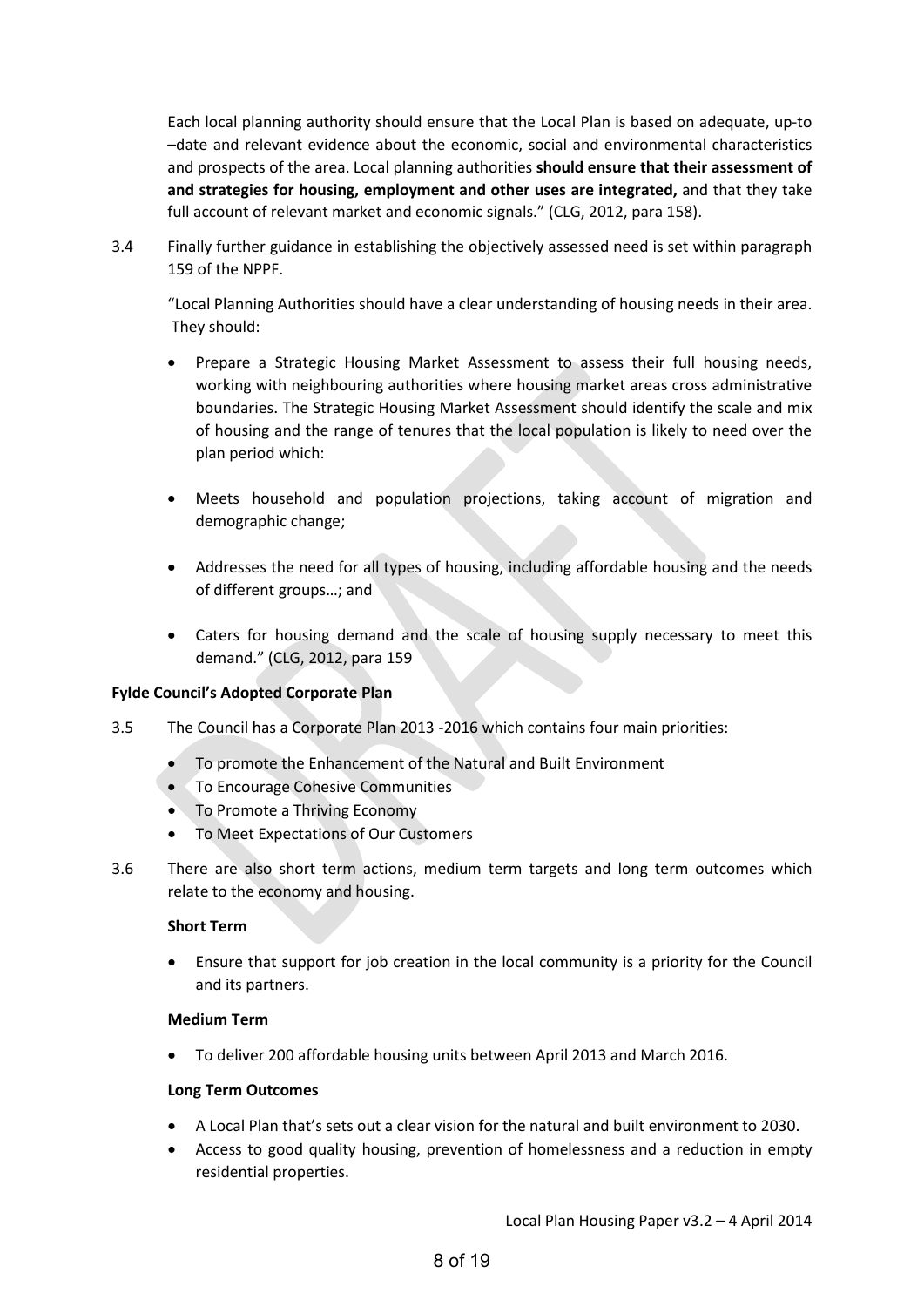Each local planning authority should ensure that the Local Plan is based on adequate, up-to –date and relevant evidence about the economic, social and environmental characteristics and prospects of the area. Local planning authorities **should ensure that their assessment of and strategies for housing, employment and other uses are integrated,** and that they take full account of relevant market and economic signals." (CLG, 2012, para 158).

3.4 Finally further guidance in establishing the objectively assessed need is set within paragraph 159 of the NPPF.

"Local Planning Authorities should have a clear understanding of housing needs in their area. They should:

- Prepare a Strategic Housing Market Assessment to assess their full housing needs, working with neighbouring authorities where housing market areas cross administrative boundaries. The Strategic Housing Market Assessment should identify the scale and mix of housing and the range of tenures that the local population is likely to need over the plan period which:
- Meets household and population projections, taking account of migration and demographic change;
- Addresses the need for all types of housing, including affordable housing and the needs of different groups…; and
- Caters for housing demand and the scale of housing supply necessary to meet this demand." (CLG, 2012, para 159

#### **Fylde Council's Adopted Corporate Plan**

- 3.5 The Council has a Corporate Plan 2013 -2016 which contains four main priorities:
	- To promote the Enhancement of the Natural and Built Environment
	- To Encourage Cohesive Communities
	- To Promote a Thriving Economy
	- To Meet Expectations of Our Customers
- 3.6 There are also short term actions, medium term targets and long term outcomes which relate to the economy and housing.

#### **Short Term**

• Ensure that support for job creation in the local community is a priority for the Council and its partners.

#### **Medium Term**

• To deliver 200 affordable housing units between April 2013 and March 2016.

#### **Long Term Outcomes**

- A Local Plan that's sets out a clear vision for the natural and built environment to 2030.
- Access to good quality housing, prevention of homelessness and a reduction in empty residential properties.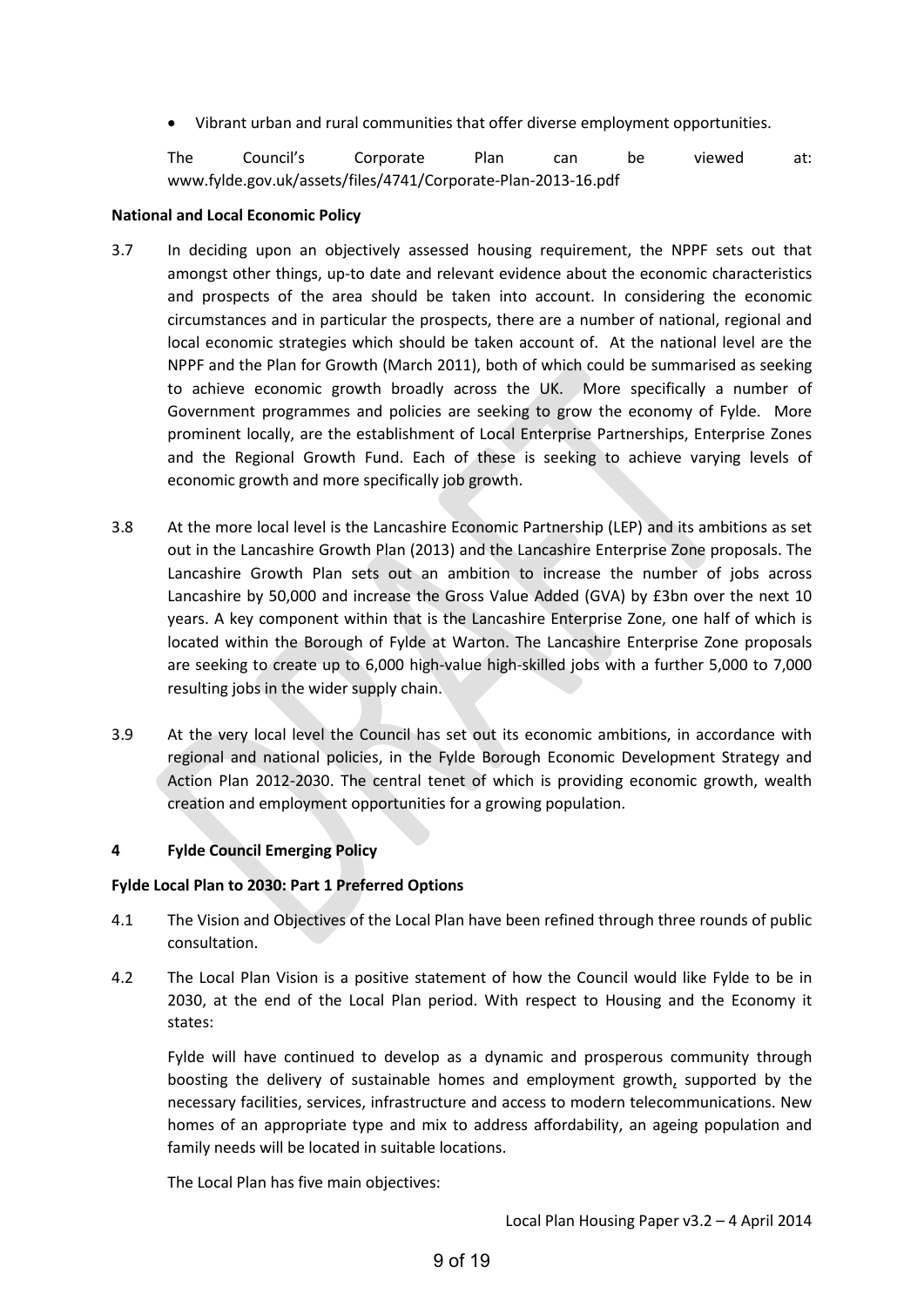• Vibrant urban and rural communities that offer diverse employment opportunities.

The Council's Corporate Plan can be viewed at: www.fylde.gov.uk/assets/files/4741/Corporate-Plan-2013-16.pdf

#### **National and Local Economic Policy**

- 3.7 In deciding upon an objectively assessed housing requirement, the NPPF sets out that amongst other things, up-to date and relevant evidence about the economic characteristics and prospects of the area should be taken into account. In considering the economic circumstances and in particular the prospects, there are a number of national, regional and local economic strategies which should be taken account of. At the national level are the NPPF and the Plan for Growth (March 2011), both of which could be summarised as seeking to achieve economic growth broadly across the UK. More specifically a number of Government programmes and policies are seeking to grow the economy of Fylde. More prominent locally, are the establishment of Local Enterprise Partnerships, Enterprise Zones and the Regional Growth Fund. Each of these is seeking to achieve varying levels of economic growth and more specifically job growth.
- 3.8 At the more local level is the Lancashire Economic Partnership (LEP) and its ambitions as set out in the Lancashire Growth Plan (2013) and the Lancashire Enterprise Zone proposals. The Lancashire Growth Plan sets out an ambition to increase the number of jobs across Lancashire by 50,000 and increase the Gross Value Added (GVA) by £3bn over the next 10 years. A key component within that is the Lancashire Enterprise Zone, one half of which is located within the Borough of Fylde at Warton. The Lancashire Enterprise Zone proposals are seeking to create up to 6,000 high-value high-skilled jobs with a further 5,000 to 7,000 resulting jobs in the wider supply chain.
- 3.9 At the very local level the Council has set out its economic ambitions, in accordance with regional and national policies, in the Fylde Borough Economic Development Strategy and Action Plan 2012-2030. The central tenet of which is providing economic growth, wealth creation and employment opportunities for a growing population.

#### **4 Fylde Council Emerging Policy**

#### **Fylde Local Plan to 2030: Part 1 Preferred Options**

- 4.1 The Vision and Objectives of the Local Plan have been refined through three rounds of public consultation.
- 4.2 The Local Plan Vision is a positive statement of how the Council would like Fylde to be in 2030, at the end of the Local Plan period. With respect to Housing and the Economy it states:

Fylde will have continued to develop as a dynamic and prosperous community through boosting the delivery of sustainable homes and employment growth, supported by the necessary facilities, services, infrastructure and access to modern telecommunications. New homes of an appropriate type and mix to address affordability, an ageing population and family needs will be located in suitable locations.

The Local Plan has five main objectives: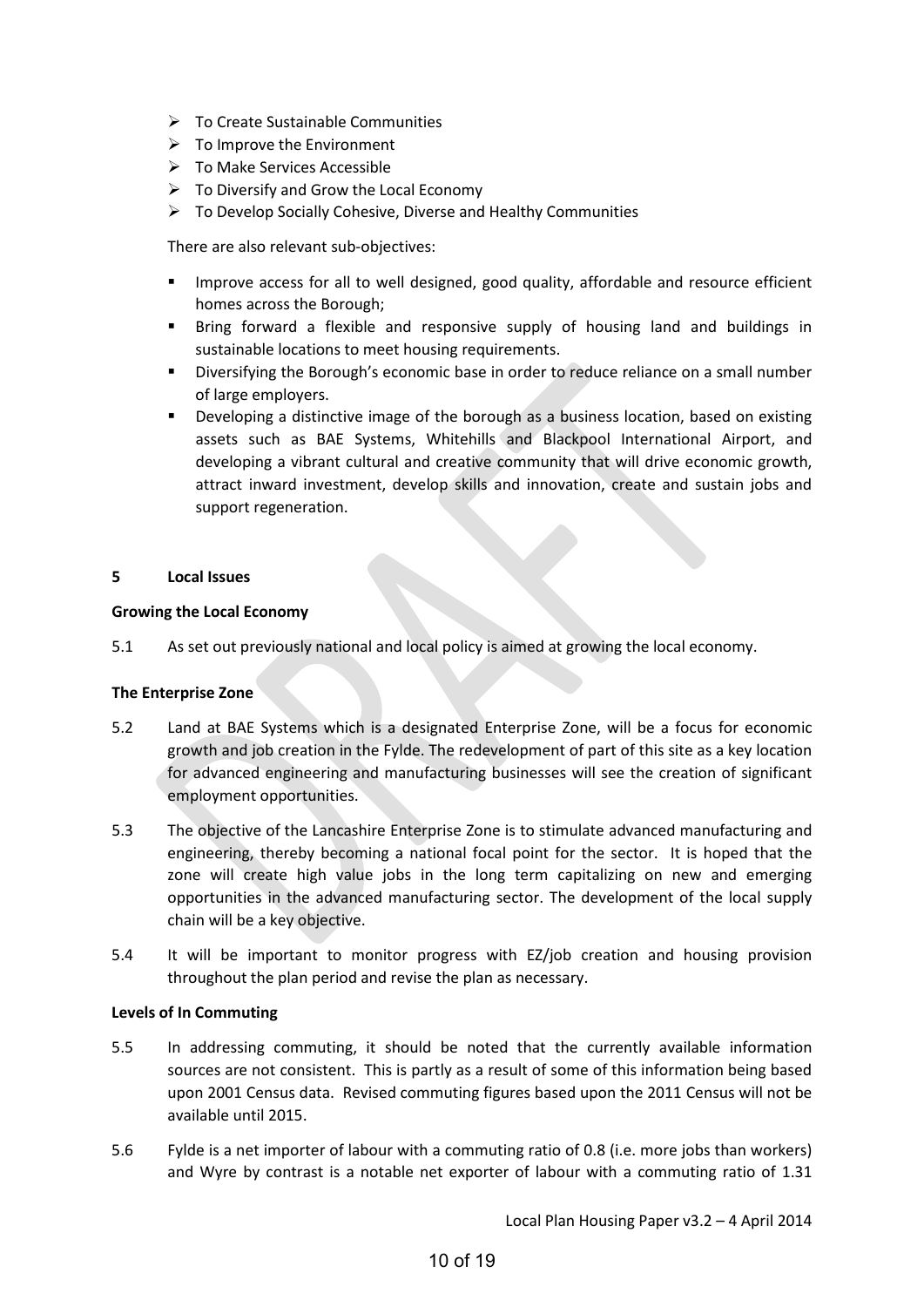- $\triangleright$  To Create Sustainable Communities
- $\triangleright$  To Improve the Environment
- $\triangleright$  To Make Services Accessible
- $\triangleright$  To Diversify and Grow the Local Economy
- $\triangleright$  To Develop Socially Cohesive, Diverse and Healthy Communities

There are also relevant sub-objectives:

- Improve access for all to well designed, good quality, affordable and resource efficient homes across the Borough;
- Bring forward a flexible and responsive supply of housing land and buildings in sustainable locations to meet housing requirements.
- Diversifying the Borough's economic base in order to reduce reliance on a small number of large employers.
- Developing a distinctive image of the borough as a business location, based on existing assets such as BAE Systems, Whitehills and Blackpool International Airport, and developing a vibrant cultural and creative community that will drive economic growth, attract inward investment, develop skills and innovation, create and sustain jobs and support regeneration.

#### **5 Local Issues**

#### **Growing the Local Economy**

5.1 As set out previously national and local policy is aimed at growing the local economy.

#### **The Enterprise Zone**

- 5.2 Land at BAE Systems which is a designated Enterprise Zone, will be a focus for economic growth and job creation in the Fylde. The redevelopment of part of this site as a key location for advanced engineering and manufacturing businesses will see the creation of significant employment opportunities.
- 5.3 The objective of the Lancashire Enterprise Zone is to stimulate advanced manufacturing and engineering, thereby becoming a national focal point for the sector. It is hoped that the zone will create high value jobs in the long term capitalizing on new and emerging opportunities in the advanced manufacturing sector. The development of the local supply chain will be a key objective.
- 5.4 It will be important to monitor progress with EZ/job creation and housing provision throughout the plan period and revise the plan as necessary.

#### **Levels of In Commuting**

- 5.5 In addressing commuting, it should be noted that the currently available information sources are not consistent. This is partly as a result of some of this information being based upon 2001 Census data. Revised commuting figures based upon the 2011 Census will not be available until 2015.
- 5.6 Fylde is a net importer of labour with a commuting ratio of 0.8 (i.e. more jobs than workers) and Wyre by contrast is a notable net exporter of labour with a commuting ratio of 1.31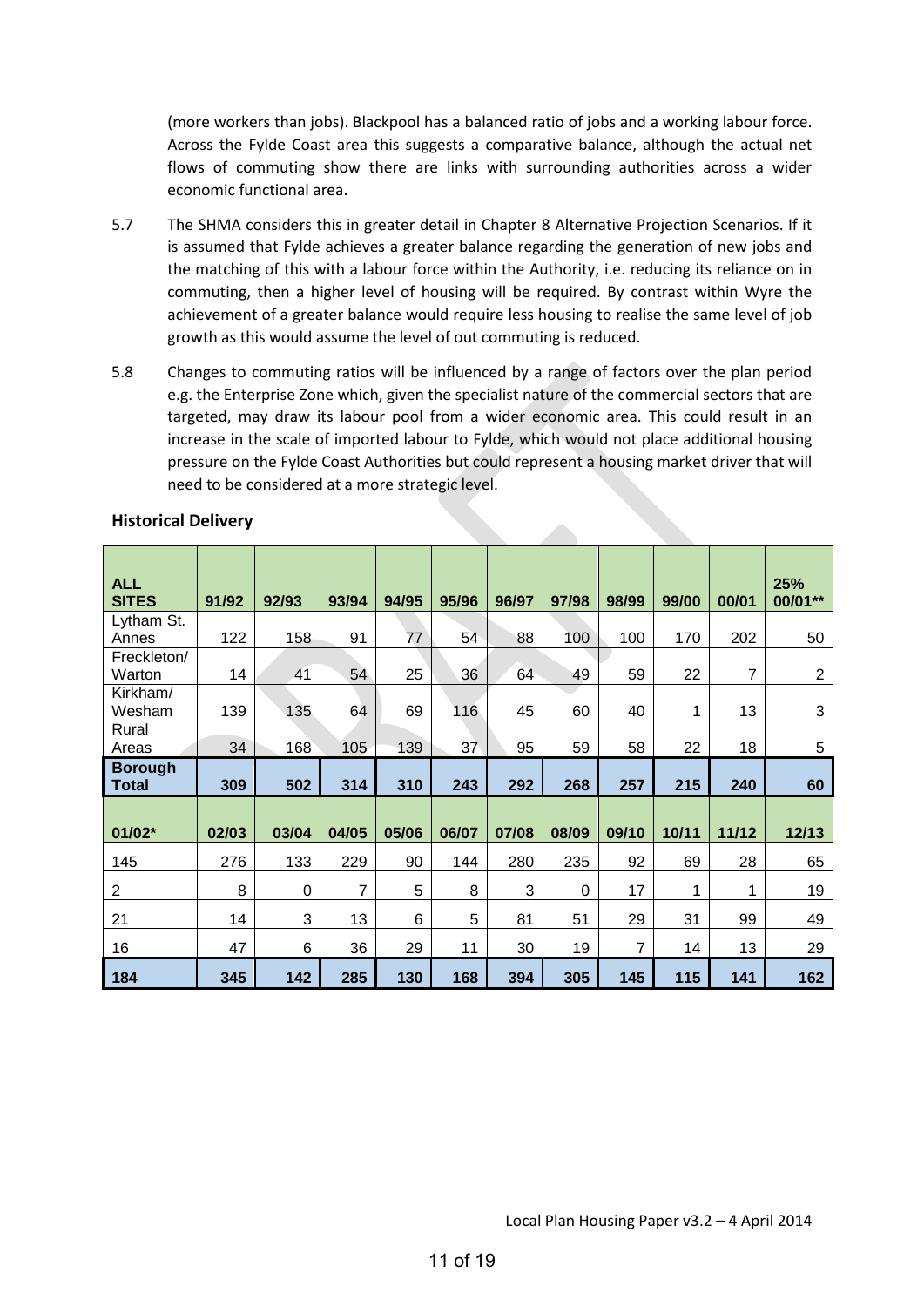(more workers than jobs). Blackpool has a balanced ratio of jobs and a working labour force. Across the Fylde Coast area this suggests a comparative balance, although the actual net flows of commuting show there are links with surrounding authorities across a wider economic functional area.

- 5.7 The SHMA considers this in greater detail in Chapter 8 Alternative Projection Scenarios. If it is assumed that Fylde achieves a greater balance regarding the generation of new jobs and the matching of this with a labour force within the Authority, i.e. reducing its reliance on in commuting, then a higher level of housing will be required. By contrast within Wyre the achievement of a greater balance would require less housing to realise the same level of job growth as this would assume the level of out commuting is reduced.
- 5.8 Changes to commuting ratios will be influenced by a range of factors over the plan period e.g. the Enterprise Zone which, given the specialist nature of the commercial sectors that are targeted, may draw its labour pool from a wider economic area. This could result in an increase in the scale of imported labour to Fylde, which would not place additional housing pressure on the Fylde Coast Authorities but could represent a housing market driver that will need to be considered at a more strategic level.

| <b>ALL</b><br><b>SITES</b>     | 91/92 | 92/93       | 93/94 | 94/95 | 95/96 | 96/97 | 97/98 | 98/99          | 99/00 | 00/01 | 25%<br>00/01** |
|--------------------------------|-------|-------------|-------|-------|-------|-------|-------|----------------|-------|-------|----------------|
| Lytham St.<br>Annes            | 122   | 158         | 91    | 77    | 54    | 88    | 100   | 100            | 170   | 202   | 50             |
| Freckleton/<br>Warton          | 14    | 41          | 54    | 25    | 36    | 64    | 49    | 59             | 22    | 7     | $\overline{2}$ |
| Kirkham/<br>Wesham             | 139   | 135         | 64    | 69    | 116   | 45    | 60    | 40             | 1     | 13    | 3              |
| Rural<br>Areas                 | 34    | 168         | 105   | 139   | 37    | 95    | 59    | 58             | 22    | 18    | 5              |
| <b>Borough</b><br><b>Total</b> | 309   | 502         | 314   | 310   | 243   | 292   | 268   | 257            | 215   | 240   | 60             |
| $01/02*$                       | 02/03 | 03/04       | 04/05 | 05/06 | 06/07 | 07/08 | 08/09 | 09/10          | 10/11 | 11/12 | 12/13          |
| 145                            | 276   | 133         | 229   | 90    | 144   | 280   | 235   | 92             | 69    | 28    | 65             |
| $\overline{c}$                 | 8     | $\mathbf 0$ | 7     | 5     | 8     | 3     | 0     | 17             | 1     | 1     | 19             |
| 21                             | 14    | 3           | 13    | 6     | 5     | 81    | 51    | 29             | 31    | 99    | 49             |
| 16                             | 47    | 6           | 36    | 29    | 11    | 30    | 19    | $\overline{7}$ | 14    | 13    | 29             |
| 184                            | 345   | 142         | 285   | 130   | 168   | 394   | 305   | 145            | 115   | 141   | 162            |

#### **Historical Delivery**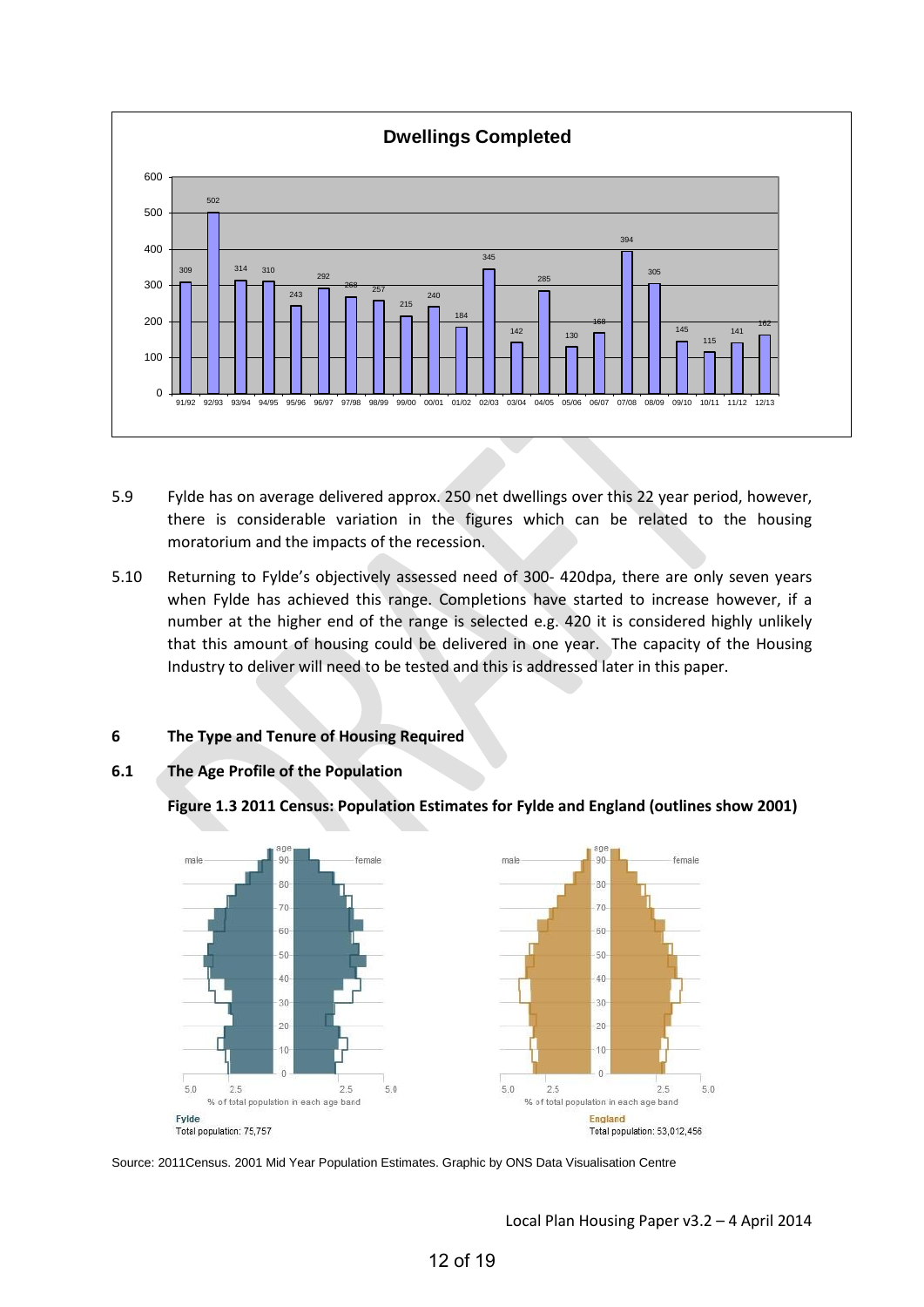

- 5.9 Fylde has on average delivered approx. 250 net dwellings over this 22 year period, however, there is considerable variation in the figures which can be related to the housing moratorium and the impacts of the recession.
- 5.10 Returning to Fylde's objectively assessed need of 300- 420dpa, there are only seven years when Fylde has achieved this range. Completions have started to increase however, if a number at the higher end of the range is selected e.g. 420 it is considered highly unlikely that this amount of housing could be delivered in one year. The capacity of the Housing Industry to deliver will need to be tested and this is addressed later in this paper.

# **6 The Type and Tenure of Housing Required**

**6.1 The Age Profile of the Population** 

**Figure 1.3 2011 Census: Population Estimates for Fylde and England (outlines show 2001)**



Source: 2011Census. 2001 Mid Year Population Estimates. Graphic by ONS Data Visualisation Centre

Local Plan Housing Paper v3.2 – 4 April 2014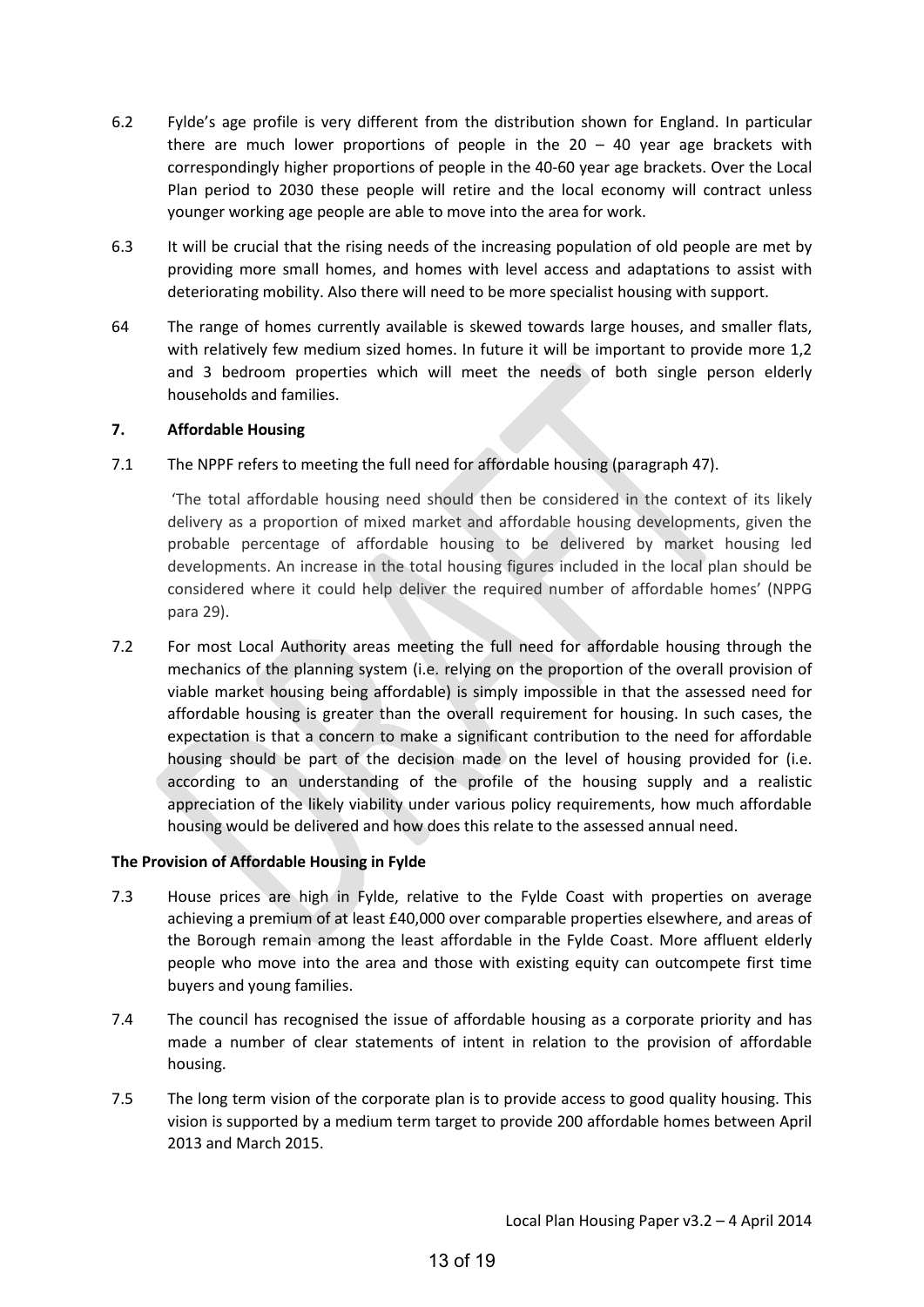- 6.2 Fylde's age profile is very different from the distribution shown for England. In particular there are much lower proportions of people in the  $20 - 40$  year age brackets with correspondingly higher proportions of people in the 40-60 year age brackets. Over the Local Plan period to 2030 these people will retire and the local economy will contract unless younger working age people are able to move into the area for work.
- 6.3 It will be crucial that the rising needs of the increasing population of old people are met by providing more small homes, and homes with level access and adaptations to assist with deteriorating mobility. Also there will need to be more specialist housing with support.
- 64 The range of homes currently available is skewed towards large houses, and smaller flats, with relatively few medium sized homes. In future it will be important to provide more 1,2 and 3 bedroom properties which will meet the needs of both single person elderly households and families.

#### **7. Affordable Housing**

7.1 The NPPF refers to meeting the full need for affordable housing (paragraph 47).

 'The total affordable housing need should then be considered in the context of its likely delivery as a proportion of mixed market and affordable housing developments, given the probable percentage of affordable housing to be delivered by market housing led developments. An increase in the total housing figures included in the local plan should be considered where it could help deliver the required number of affordable homes' (NPPG para 29).

7.2 For most Local Authority areas meeting the full need for affordable housing through the mechanics of the planning system (i.e. relying on the proportion of the overall provision of viable market housing being affordable) is simply impossible in that the assessed need for affordable housing is greater than the overall requirement for housing. In such cases, the expectation is that a concern to make a significant contribution to the need for affordable housing should be part of the decision made on the level of housing provided for (i.e. according to an understanding of the profile of the housing supply and a realistic appreciation of the likely viability under various policy requirements, how much affordable housing would be delivered and how does this relate to the assessed annual need.

#### **The Provision of Affordable Housing in Fylde**

- 7.3 House prices are high in Fylde, relative to the Fylde Coast with properties on average achieving a premium of at least £40,000 over comparable properties elsewhere, and areas of the Borough remain among the least affordable in the Fylde Coast. More affluent elderly people who move into the area and those with existing equity can outcompete first time buyers and young families.
- 7.4 The council has recognised the issue of affordable housing as a corporate priority and has made a number of clear statements of intent in relation to the provision of affordable housing.
- 7.5 The long term vision of the corporate plan is to provide access to good quality housing. This vision is supported by a medium term target to provide 200 affordable homes between April 2013 and March 2015.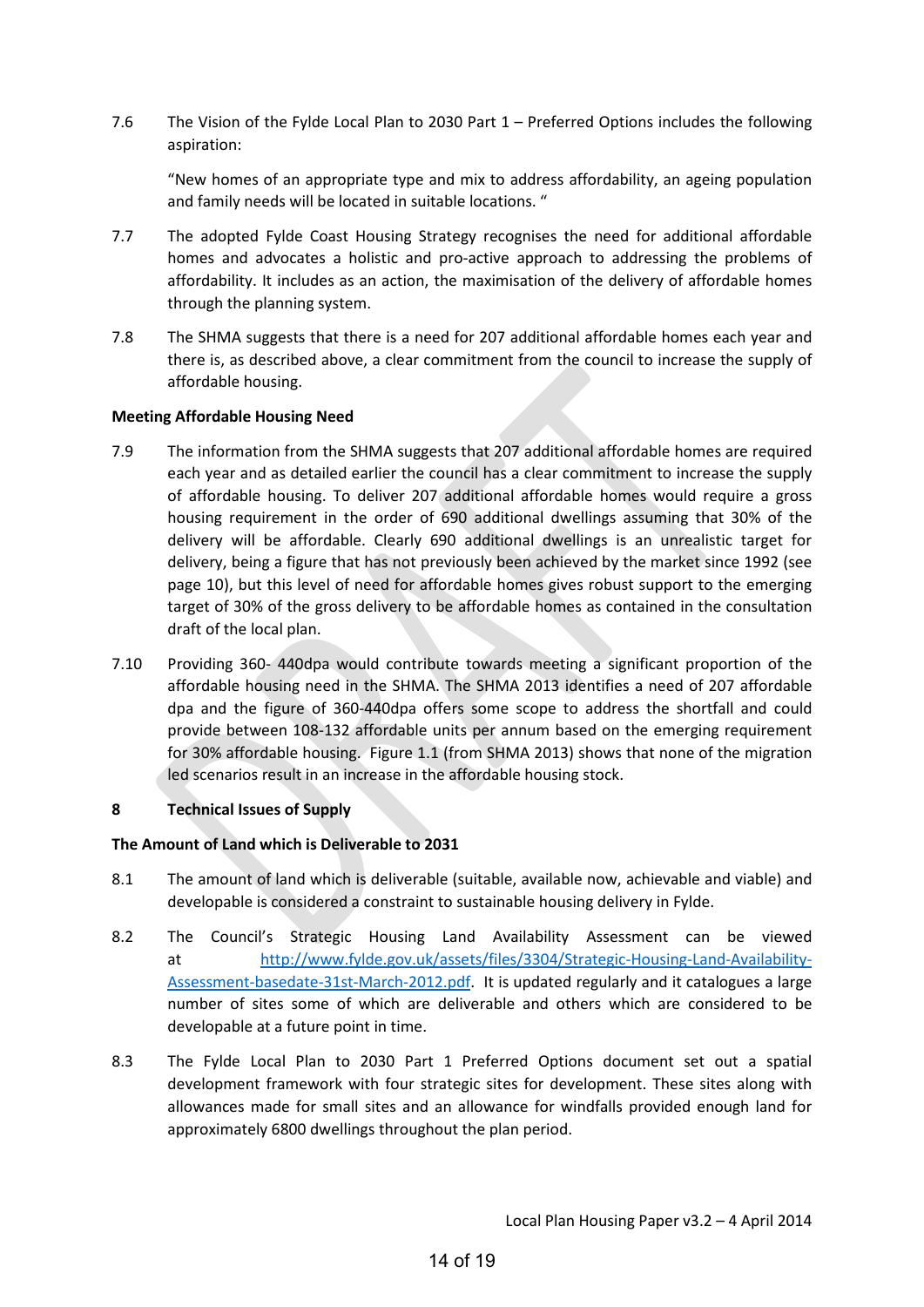7.6 The Vision of the Fylde Local Plan to 2030 Part 1 – Preferred Options includes the following aspiration:

"New homes of an appropriate type and mix to address affordability, an ageing population and family needs will be located in suitable locations. "

- 7.7 The adopted Fylde Coast Housing Strategy recognises the need for additional affordable homes and advocates a holistic and pro-active approach to addressing the problems of affordability. It includes as an action, the maximisation of the delivery of affordable homes through the planning system.
- 7.8 The SHMA suggests that there is a need for 207 additional affordable homes each year and there is, as described above, a clear commitment from the council to increase the supply of affordable housing.

#### **Meeting Affordable Housing Need**

- 7.9 The information from the SHMA suggests that 207 additional affordable homes are required each year and as detailed earlier the council has a clear commitment to increase the supply of affordable housing. To deliver 207 additional affordable homes would require a gross housing requirement in the order of 690 additional dwellings assuming that 30% of the delivery will be affordable. Clearly 690 additional dwellings is an unrealistic target for delivery, being a figure that has not previously been achieved by the market since 1992 (see page 10), but this level of need for affordable homes gives robust support to the emerging target of 30% of the gross delivery to be affordable homes as contained in the consultation draft of the local plan.
- 7.10 Providing 360- 440dpa would contribute towards meeting a significant proportion of the affordable housing need in the SHMA. The SHMA 2013 identifies a need of 207 affordable dpa and the figure of 360-440dpa offers some scope to address the shortfall and could provide between 108-132 affordable units per annum based on the emerging requirement for 30% affordable housing. Figure 1.1 (from SHMA 2013) shows that none of the migration led scenarios result in an increase in the affordable housing stock.

#### **8 Technical Issues of Supply**

# **The Amount of Land which is Deliverable to 2031**

- 8.1 The amount of land which is deliverable (suitable, available now, achievable and viable) and developable is considered a constraint to sustainable housing delivery in Fylde.
- 8.2 The Council's Strategic Housing Land Availability Assessment can be viewed at [http://www.fylde.gov.uk/assets/files/3304/Strategic-Housing-Land-Availability-](http://www.fylde.gov.uk/assets/files/3304/Strategic-Housing-Land-Availability-Assessment-basedate-31st-March-2012.pdf)[Assessment-basedate-31st-March-2012.pdf.](http://www.fylde.gov.uk/assets/files/3304/Strategic-Housing-Land-Availability-Assessment-basedate-31st-March-2012.pdf) It is updated regularly and it catalogues a large number of sites some of which are deliverable and others which are considered to be developable at a future point in time.
- 8.3 The Fylde Local Plan to 2030 Part 1 Preferred Options document set out a spatial development framework with four strategic sites for development. These sites along with allowances made for small sites and an allowance for windfalls provided enough land for approximately 6800 dwellings throughout the plan period.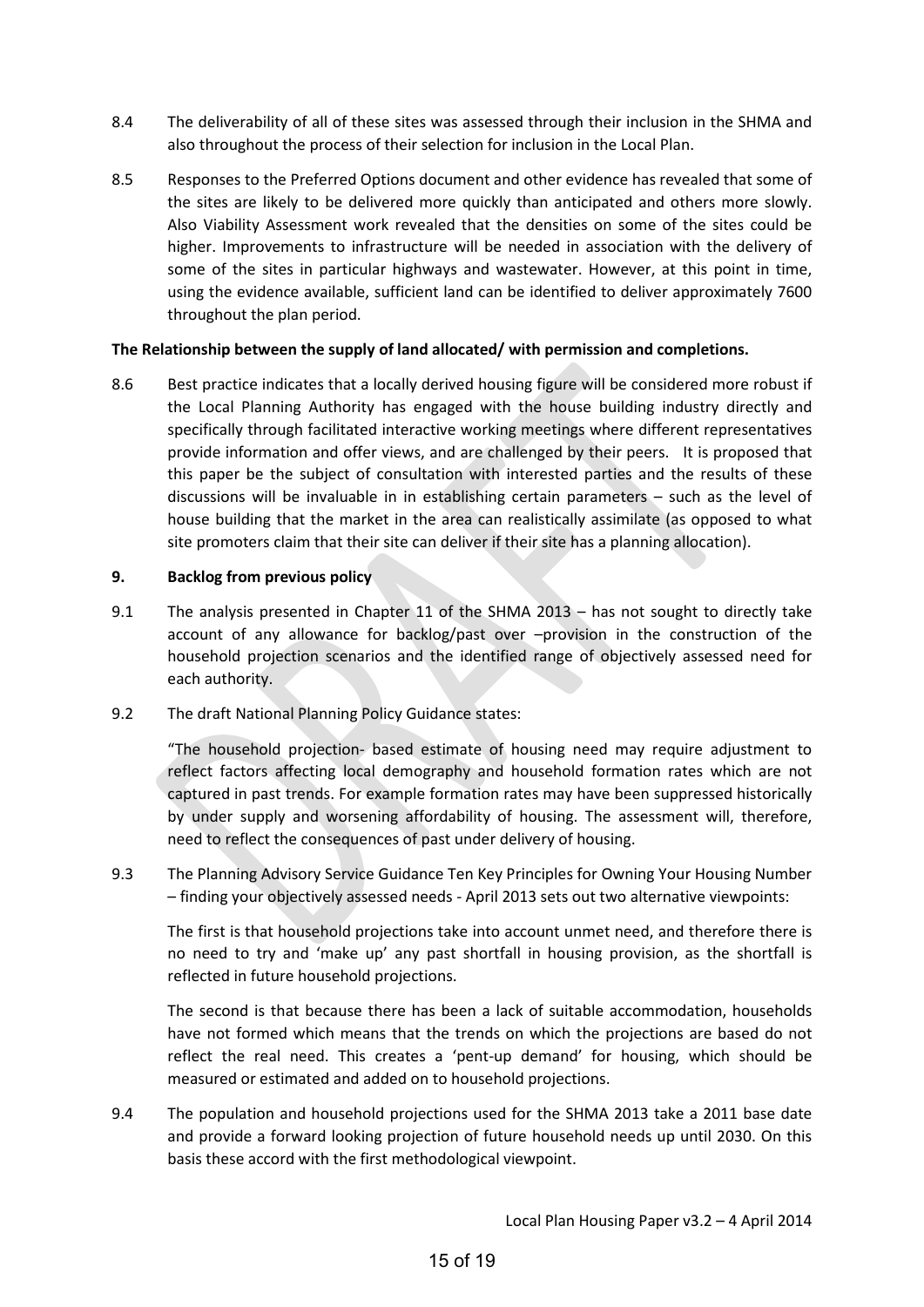- 8.4 The deliverability of all of these sites was assessed through their inclusion in the SHMA and also throughout the process of their selection for inclusion in the Local Plan.
- 8.5 Responses to the Preferred Options document and other evidence has revealed that some of the sites are likely to be delivered more quickly than anticipated and others more slowly. Also Viability Assessment work revealed that the densities on some of the sites could be higher. Improvements to infrastructure will be needed in association with the delivery of some of the sites in particular highways and wastewater. However, at this point in time, using the evidence available, sufficient land can be identified to deliver approximately 7600 throughout the plan period.

#### **The Relationship between the supply of land allocated/ with permission and completions.**

8.6 Best practice indicates that a locally derived housing figure will be considered more robust if the Local Planning Authority has engaged with the house building industry directly and specifically through facilitated interactive working meetings where different representatives provide information and offer views, and are challenged by their peers. It is proposed that this paper be the subject of consultation with interested parties and the results of these discussions will be invaluable in in establishing certain parameters – such as the level of house building that the market in the area can realistically assimilate (as opposed to what site promoters claim that their site can deliver if their site has a planning allocation).

## **9. Backlog from previous policy**

9.1 The analysis presented in Chapter 11 of the SHMA 2013 – has not sought to directly take account of any allowance for backlog/past over –provision in the construction of the household projection scenarios and the identified range of objectively assessed need for each authority.

# 9.2 The draft National Planning Policy Guidance states:

"The household projection- based estimate of housing need may require adjustment to reflect factors affecting local demography and household formation rates which are not captured in past trends. For example formation rates may have been suppressed historically by under supply and worsening affordability of housing. The assessment will, therefore, need to reflect the consequences of past under delivery of housing.

9.3 The Planning Advisory Service Guidance Ten Key Principles for Owning Your Housing Number – finding your objectively assessed needs - April 2013 sets out two alternative viewpoints:

The first is that household projections take into account unmet need, and therefore there is no need to try and 'make up' any past shortfall in housing provision, as the shortfall is reflected in future household projections.

The second is that because there has been a lack of suitable accommodation, households have not formed which means that the trends on which the projections are based do not reflect the real need. This creates a 'pent-up demand' for housing, which should be measured or estimated and added on to household projections.

9.4 The population and household projections used for the SHMA 2013 take a 2011 base date and provide a forward looking projection of future household needs up until 2030. On this basis these accord with the first methodological viewpoint.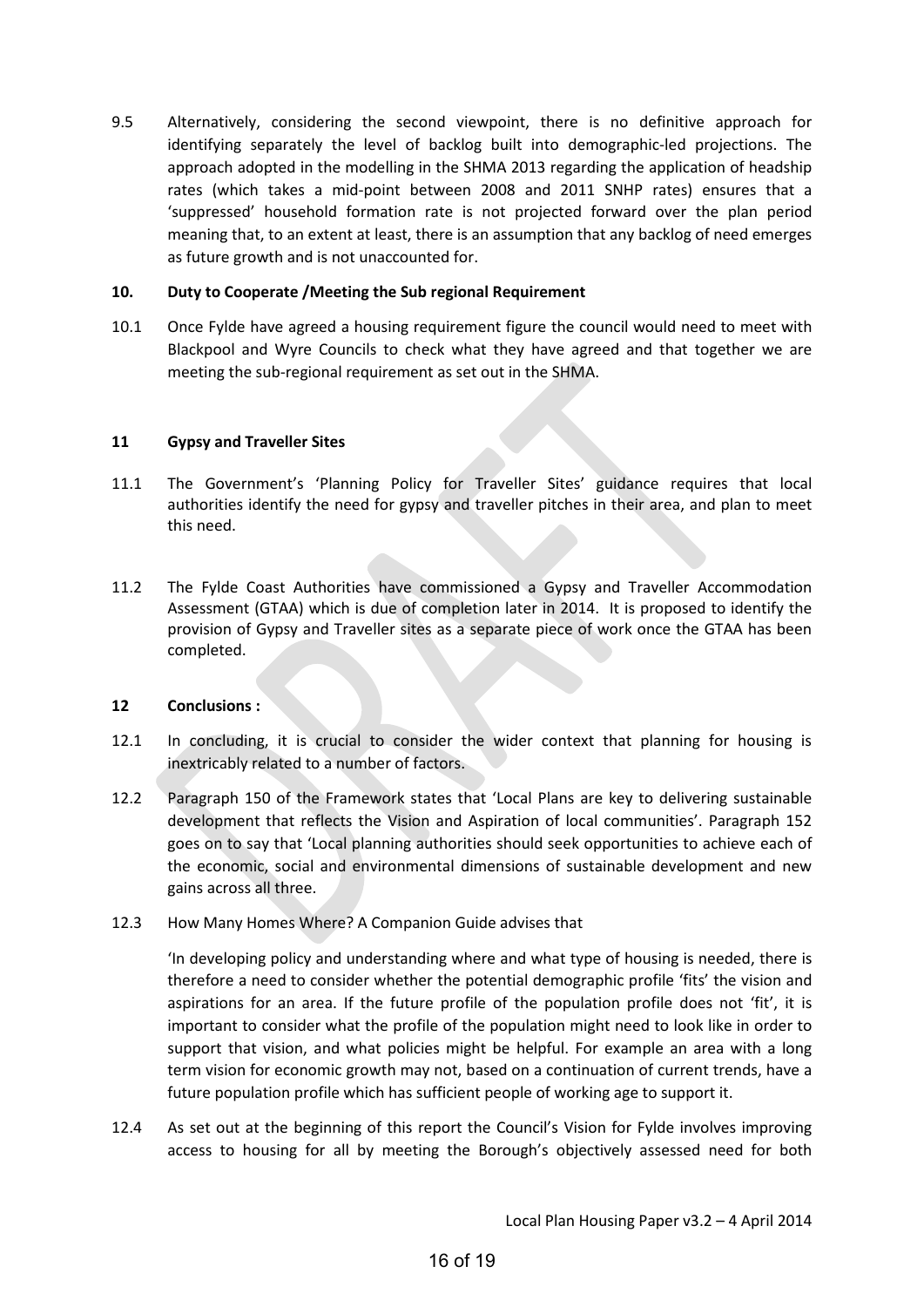9.5 Alternatively, considering the second viewpoint, there is no definitive approach for identifying separately the level of backlog built into demographic-led projections. The approach adopted in the modelling in the SHMA 2013 regarding the application of headship rates (which takes a mid-point between 2008 and 2011 SNHP rates) ensures that a 'suppressed' household formation rate is not projected forward over the plan period meaning that, to an extent at least, there is an assumption that any backlog of need emerges as future growth and is not unaccounted for.

#### **10. Duty to Cooperate /Meeting the Sub regional Requirement**

10.1 Once Fylde have agreed a housing requirement figure the council would need to meet with Blackpool and Wyre Councils to check what they have agreed and that together we are meeting the sub-regional requirement as set out in the SHMA.

#### **11 Gypsy and Traveller Sites**

- 11.1 The Government's 'Planning Policy for Traveller Sites' guidance requires that local authorities identify the need for gypsy and traveller pitches in their area, and plan to meet this need.
- 11.2 The Fylde Coast Authorities have commissioned a Gypsy and Traveller Accommodation Assessment (GTAA) which is due of completion later in 2014. It is proposed to identify the provision of Gypsy and Traveller sites as a separate piece of work once the GTAA has been completed.

#### **12 Conclusions :**

- 12.1 In concluding, it is crucial to consider the wider context that planning for housing is inextricably related to a number of factors.
- 12.2 Paragraph 150 of the Framework states that 'Local Plans are key to delivering sustainable development that reflects the Vision and Aspiration of local communities'. Paragraph 152 goes on to say that 'Local planning authorities should seek opportunities to achieve each of the economic, social and environmental dimensions of sustainable development and new gains across all three.
- 12.3 How Many Homes Where? A Companion Guide advises that

'In developing policy and understanding where and what type of housing is needed, there is therefore a need to consider whether the potential demographic profile 'fits' the vision and aspirations for an area. If the future profile of the population profile does not 'fit', it is important to consider what the profile of the population might need to look like in order to support that vision, and what policies might be helpful. For example an area with a long term vision for economic growth may not, based on a continuation of current trends, have a future population profile which has sufficient people of working age to support it.

12.4 As set out at the beginning of this report the Council's Vision for Fylde involves improving access to housing for all by meeting the Borough's objectively assessed need for both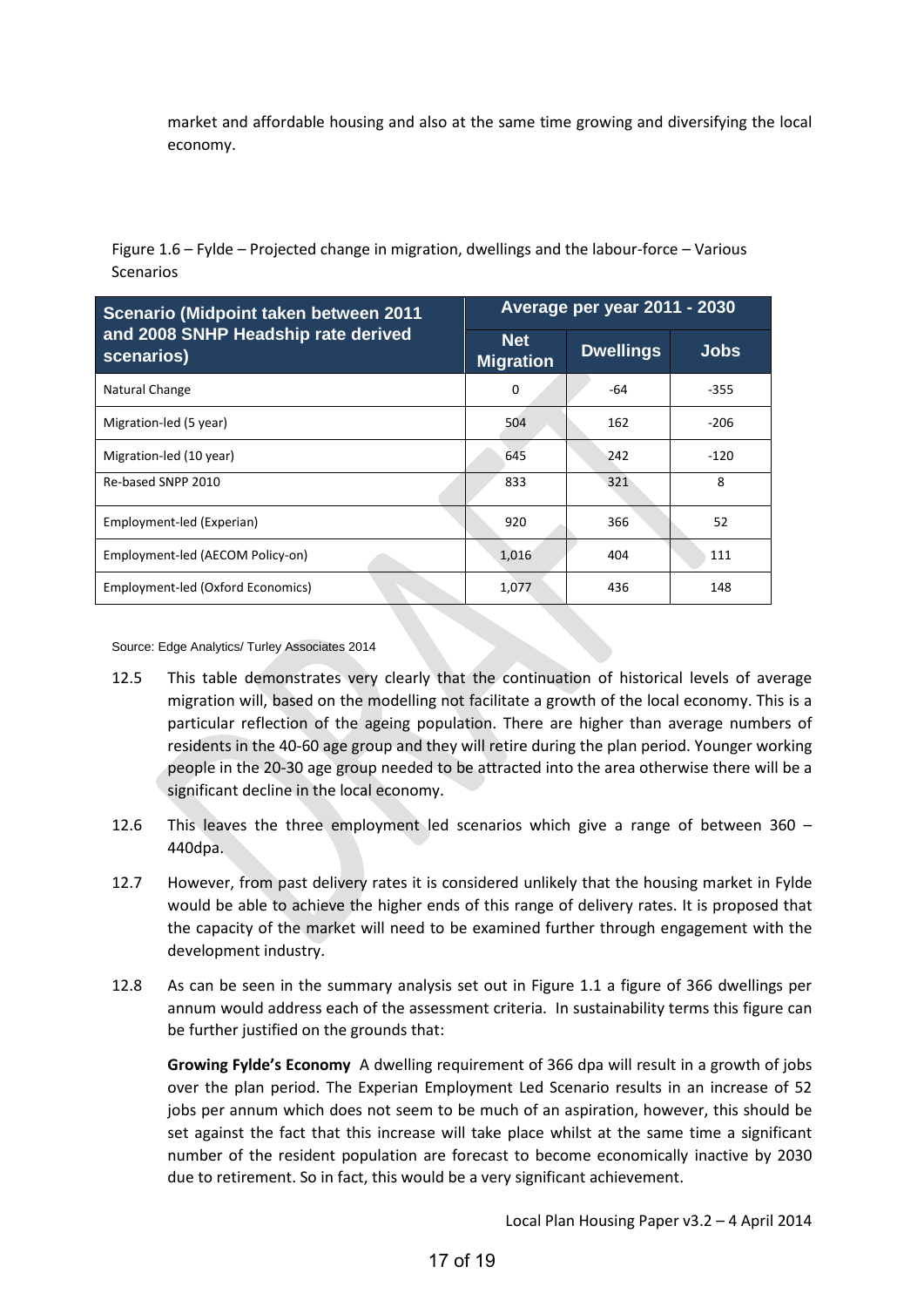market and affordable housing and also at the same time growing and diversifying the local economy.

Figure 1.6 – Fylde – Projected change in migration, dwellings and the labour-force – Various Scenarios

| Scenario (Midpoint taken between 2011             | Average per year 2011 - 2030   |                  |             |  |  |  |
|---------------------------------------------------|--------------------------------|------------------|-------------|--|--|--|
| and 2008 SNHP Headship rate derived<br>scenarios) | <b>Net</b><br><b>Migration</b> | <b>Dwellings</b> | <b>Jobs</b> |  |  |  |
| Natural Change                                    | 0                              | -64              | $-355$      |  |  |  |
| Migration-led (5 year)                            | 504                            | 162              | $-206$      |  |  |  |
| Migration-led (10 year)                           | 645                            | 242              | $-120$      |  |  |  |
| Re-based SNPP 2010                                | 833                            | 321              | 8           |  |  |  |
| Employment-led (Experian)                         | 920                            | 366              | 52          |  |  |  |
| Employment-led (AECOM Policy-on)                  | 1,016                          | 404              | 111         |  |  |  |
| Employment-led (Oxford Economics)                 | 1,077                          | 436              | 148         |  |  |  |

Source: Edge Analytics/ Turley Associates 2014

- 12.5 This table demonstrates very clearly that the continuation of historical levels of average migration will, based on the modelling not facilitate a growth of the local economy. This is a particular reflection of the ageing population. There are higher than average numbers of residents in the 40-60 age group and they will retire during the plan period. Younger working people in the 20-30 age group needed to be attracted into the area otherwise there will be a significant decline in the local economy.
- 12.6 This leaves the three employment led scenarios which give a range of between 360 440dpa.
- 12.7 However, from past delivery rates it is considered unlikely that the housing market in Fylde would be able to achieve the higher ends of this range of delivery rates. It is proposed that the capacity of the market will need to be examined further through engagement with the development industry.
- 12.8 As can be seen in the summary analysis set out in Figure 1.1 a figure of 366 dwellings per annum would address each of the assessment criteria. In sustainability terms this figure can be further justified on the grounds that:

**Growing Fylde's Economy** A dwelling requirement of 366 dpa will result in a growth of jobs over the plan period. The Experian Employment Led Scenario results in an increase of 52 jobs per annum which does not seem to be much of an aspiration, however, this should be set against the fact that this increase will take place whilst at the same time a significant number of the resident population are forecast to become economically inactive by 2030 due to retirement. So in fact, this would be a very significant achievement.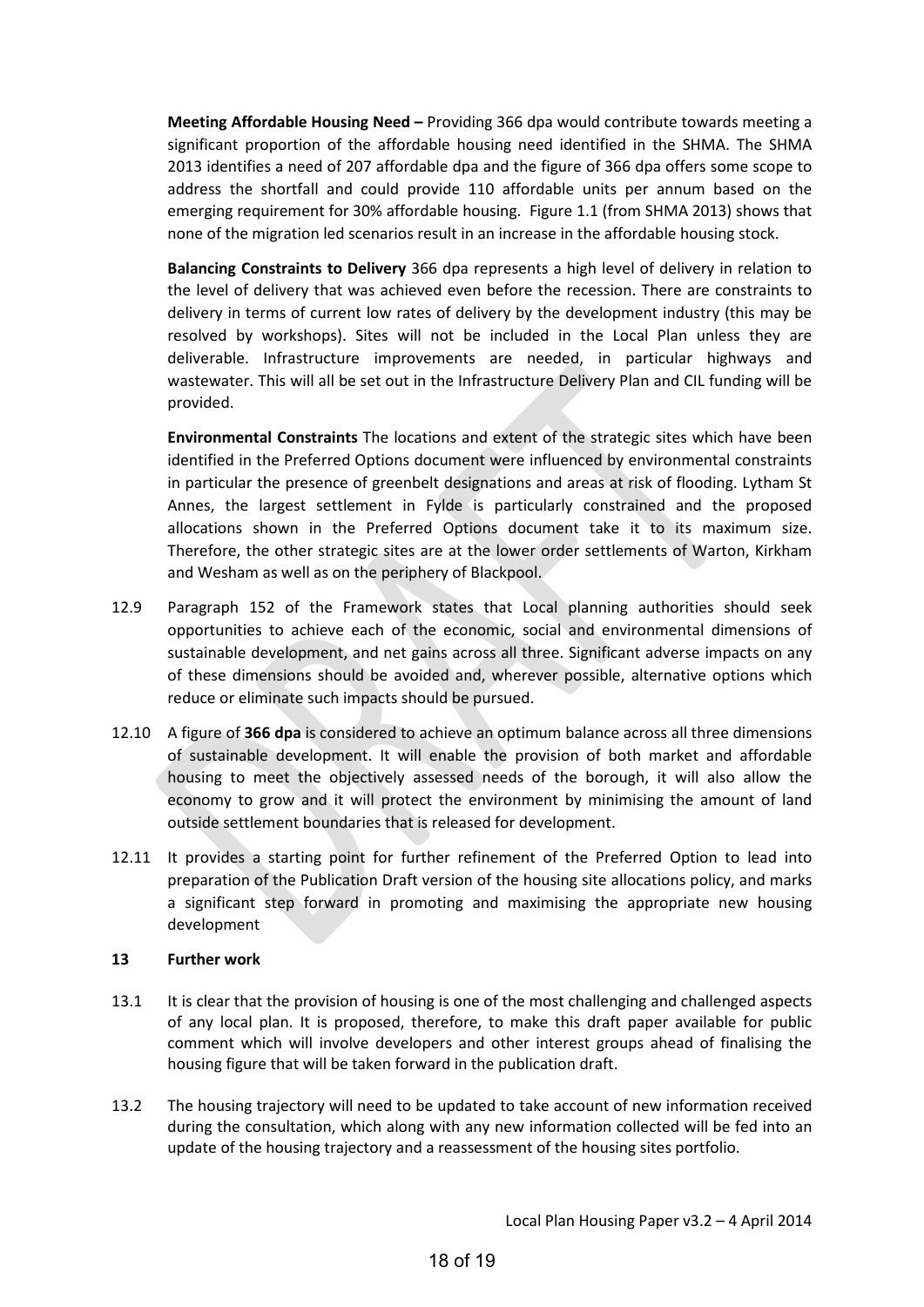**Meeting Affordable Housing Need –** Providing 366 dpa would contribute towards meeting a significant proportion of the affordable housing need identified in the SHMA. The SHMA 2013 identifies a need of 207 affordable dpa and the figure of 366 dpa offers some scope to address the shortfall and could provide 110 affordable units per annum based on the emerging requirement for 30% affordable housing. Figure 1.1 (from SHMA 2013) shows that none of the migration led scenarios result in an increase in the affordable housing stock.

**Balancing Constraints to Delivery** 366 dpa represents a high level of delivery in relation to the level of delivery that was achieved even before the recession. There are constraints to delivery in terms of current low rates of delivery by the development industry (this may be resolved by workshops). Sites will not be included in the Local Plan unless they are deliverable. Infrastructure improvements are needed, in particular highways and wastewater. This will all be set out in the Infrastructure Delivery Plan and CIL funding will be provided.

**Environmental Constraints** The locations and extent of the strategic sites which have been identified in the Preferred Options document were influenced by environmental constraints in particular the presence of greenbelt designations and areas at risk of flooding. Lytham St Annes, the largest settlement in Fylde is particularly constrained and the proposed allocations shown in the Preferred Options document take it to its maximum size. Therefore, the other strategic sites are at the lower order settlements of Warton, Kirkham and Wesham as well as on the periphery of Blackpool.

- 12.9 Paragraph 152 of the Framework states that Local planning authorities should seek opportunities to achieve each of the economic, social and environmental dimensions of sustainable development, and net gains across all three. Significant adverse impacts on any of these dimensions should be avoided and, wherever possible, alternative options which reduce or eliminate such impacts should be pursued.
- 12.10 A figure of **366 dpa** is considered to achieve an optimum balance across all three dimensions of sustainable development. It will enable the provision of both market and affordable housing to meet the objectively assessed needs of the borough, it will also allow the economy to grow and it will protect the environment by minimising the amount of land outside settlement boundaries that is released for development.
- 12.11 It provides a starting point for further refinement of the Preferred Option to lead into preparation of the Publication Draft version of the housing site allocations policy, and marks a significant step forward in promoting and maximising the appropriate new housing development

#### **13 Further work**

- 13.1 It is clear that the provision of housing is one of the most challenging and challenged aspects of any local plan. It is proposed, therefore, to make this draft paper available for public comment which will involve developers and other interest groups ahead of finalising the housing figure that will be taken forward in the publication draft.
- 13.2 The housing trajectory will need to be updated to take account of new information received during the consultation, which along with any new information collected will be fed into an update of the housing trajectory and a reassessment of the housing sites portfolio.